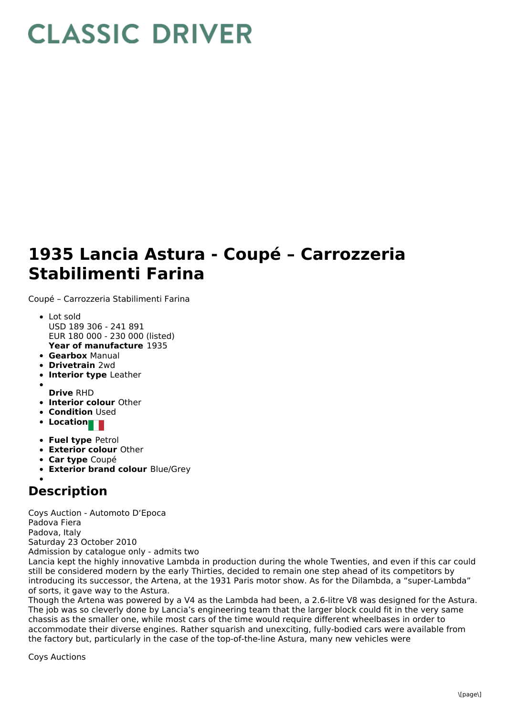## **CLASSIC DRIVER**

## **1935 Lancia Astura - Coupé – Carrozzeria Stabilimenti Farina**

Coupé – Carrozzeria Stabilimenti Farina

- **Year of manufacture** 1935 • Lot sold USD 189 306 - 241 891 EUR 180 000 - 230 000 (listed)
- **Gearbox** Manual
- **Drivetrain** 2wd
- **Interior type** Leather
- **Drive** RHD
- **Interior colour** Other
- **Condition Used**
- **Location**
- **Fuel type** Petrol
- **Exterior colour** Other
- **Car type** Coupé
- **Exterior brand colour** Blue/Grey

## **Description**

Coys Auction - Automoto D'Epoca Padova Fiera Padova, Italy Saturday 23 October 2010 Admission by catalogue only - admits two

Lancia kept the highly innovative Lambda in production during the whole Twenties, and even if this car could still be considered modern by the early Thirties, decided to remain one step ahead of its competitors by introducing its successor, the Artena, at the 1931 Paris motor show. As for the Dilambda, a "super-Lambda" of sorts, it gave way to the Astura.

Though the Artena was powered by a V4 as the Lambda had been, a 2.6-litre V8 was designed for the Astura. The job was so cleverly done by Lancia's engineering team that the larger block could fit in the very same chassis as the smaller one, while most cars of the time would require different wheelbases in order to accommodate their diverse engines. Rather squarish and unexciting, fully-bodied cars were available from the factory but, particularly in the case of the top-of-the-line Astura, many new vehicles were

Coys Auctions